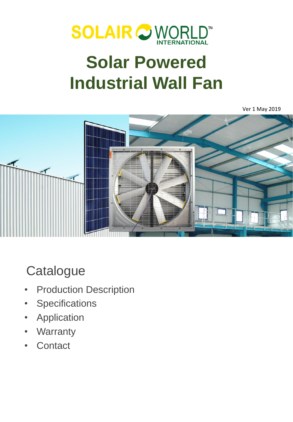

# **Solar Powered Industrial Wall Fan**

Ver 1 May 2019



# **Catalogue**

- **Production Description**
- Specifications
- **Application**
- **Warranty**
- **Contact**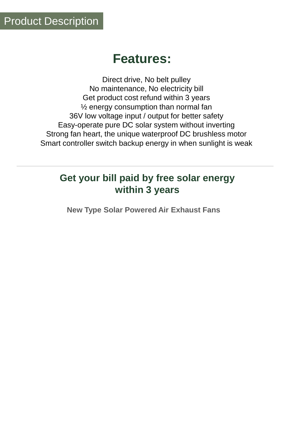## **Features:**

Direct drive, No belt pulley No maintenance, No electricity bill Get product cost refund within 3 years ½ energy consumption than normal fan 36V low voltage input / output for better safety Easy-operate pure DC solar system without inverting Strong fan heart, the unique waterproof DC brushless motor Smart controller switch backup energy in when sunlight is weak

#### **Get your bill paid by free solar energy within 3 years**

**New Type Solar Powered Air Exhaust Fans**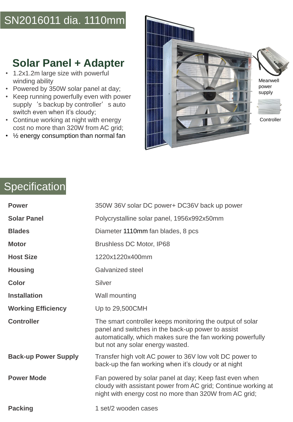### SN2016011 dia. 1110mm

#### **Solar Panel + Adapter**

- 1.2x1.2m large size with powerful winding ability
- Powered by 350W solar panel at day;
- Keep running powerfully even with power supply 's backup by controller' s auto switch even when it's cloudy;
- Continue working at night with energy cost no more than 320W from AC grid;
- ½ energy consumption than normal fan



## Specification

| <b>Power</b>                | 350W 36V solar DC power+ DC36V back up power                                                                                                                                                                     |  |
|-----------------------------|------------------------------------------------------------------------------------------------------------------------------------------------------------------------------------------------------------------|--|
| <b>Solar Panel</b>          | Polycrystalline solar panel, 1956x992x50mm                                                                                                                                                                       |  |
| <b>Blades</b>               | Diameter 1110mm fan blades, 8 pcs                                                                                                                                                                                |  |
| <b>Motor</b>                | <b>Brushless DC Motor, IP68</b>                                                                                                                                                                                  |  |
| <b>Host Size</b>            | 1220x1220x400mm                                                                                                                                                                                                  |  |
| <b>Housing</b>              | Galvanized steel                                                                                                                                                                                                 |  |
| <b>Color</b>                | Silver                                                                                                                                                                                                           |  |
| <b>Installation</b>         | Wall mounting                                                                                                                                                                                                    |  |
| <b>Working Efficiency</b>   | Up to 29,500CMH                                                                                                                                                                                                  |  |
| <b>Controller</b>           | The smart controller keeps monitoring the output of solar<br>panel and switches in the back-up power to assist<br>automatically, which makes sure the fan working powerfully<br>but not any solar energy wasted. |  |
| <b>Back-up Power Supply</b> | Transfer high volt AC power to 36V low volt DC power to<br>back-up the fan working when it's cloudy or at night                                                                                                  |  |
| <b>Power Mode</b>           | Fan powered by solar panel at day; Keep fast even when<br>cloudy with assistant power from AC grid; Continue working at<br>night with energy cost no more than 320W from AC grid;                                |  |
| <b>Packing</b>              | 1 set/2 wooden cases                                                                                                                                                                                             |  |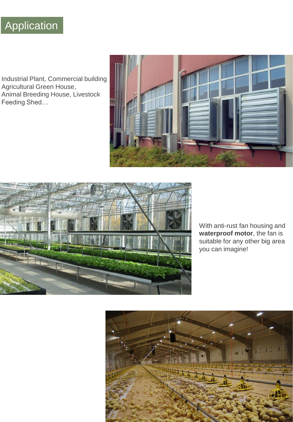## Application

Industrial Plant, Commercial building Agricultural Green House, Animal Breeding House, Livestock Feeding Shed…





With anti-rust fan housing and **waterproof motor**, the fan is suitable for any other big area you can imagine!